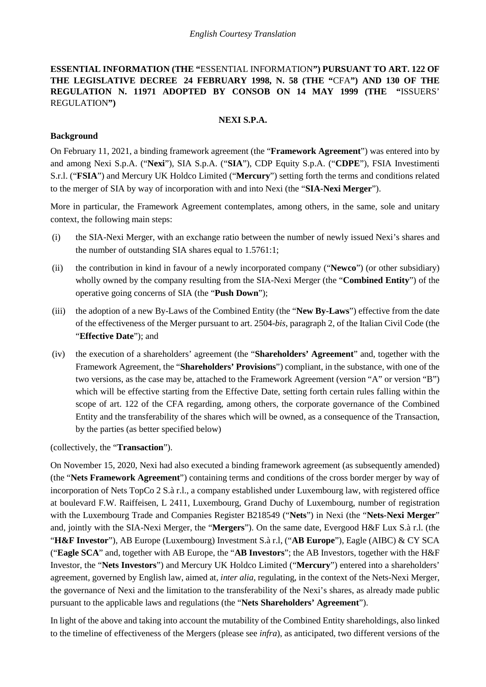**ESSENTIAL INFORMATION (THE "**ESSENTIAL INFORMATION**") PURSUANT TO ART. 122 OF THE LEGISLATIVE DECREE 24 FEBRUARY 1998, N. 58 (THE "**CFA**") AND 130 OF THE REGULATION N. 11971 ADOPTED BY CONSOB ON 14 MAY 1999 (THE "**ISSUERS' REGULATION**")**

#### **NEXI S.P.A.**

### **Background**

On February 11, 2021, a binding framework agreement (the "**Framework Agreement**") was entered into by and among Nexi S.p.A. ("**Nexi**"), SIA S.p.A. ("**SIA**"), CDP Equity S.p.A. ("**CDPE**"), FSIA Investimenti S.r.l. ("**FSIA**") and Mercury UK Holdco Limited ("**Mercury**") setting forth the terms and conditions related to the merger of SIA by way of incorporation with and into Nexi (the "**SIA-Nexi Merger**").

More in particular, the Framework Agreement contemplates, among others, in the same, sole and unitary context, the following main steps:

- (i) the SIA-Nexi Merger, with an exchange ratio between the number of newly issued Nexi's shares and the number of outstanding SIA shares equal to 1.5761:1;
- (ii) the contribution in kind in favour of a newly incorporated company ("**Newco**") (or other subsidiary) wholly owned by the company resulting from the SIA-Nexi Merger (the "**Combined Entity**") of the operative going concerns of SIA (the "**Push Down**");
- (iii) the adoption of a new By-Laws of the Combined Entity (the "**New By-Laws**") effective from the date of the effectiveness of the Merger pursuant to art. 2504-*bis*, paragraph 2, of the Italian Civil Code (the "**Effective Date**"); and
- (iv) the execution of a shareholders' agreement (the "**Shareholders' Agreement**" and, together with the Framework Agreement, the "**Shareholders' Provisions**") compliant, in the substance, with one of the two versions, as the case may be, attached to the Framework Agreement (version "A" or version "B") which will be effective starting from the Effective Date, setting forth certain rules falling within the scope of art. 122 of the CFA regarding, among others, the corporate governance of the Combined Entity and the transferability of the shares which will be owned, as a consequence of the Transaction, by the parties (as better specified below)

(collectively, the "**Transaction**").

On November 15, 2020, Nexi had also executed a binding framework agreement (as subsequently amended) (the "**Nets Framework Agreement**") containing terms and conditions of the cross border merger by way of incorporation of Nets TopCo 2 S.à r.l., a company established under Luxembourg law, with registered office at boulevard F.W. Raiffeisen, L 2411, Luxembourg, Grand Duchy of Luxembourg, number of registration with the Luxembourg Trade and Companies Register B218549 ("Nets") in Nexi (the "Nets-Nexi Merger" and, jointly with the SIA-Nexi Merger, the "**Mergers**"). On the same date, Evergood H&F Lux S.à r.l. (the "**H&F Investor**"), AB Europe (Luxembourg) Investment S.à r.l, ("**AB Europe**"), Eagle (AIBC) & CY SCA ("**Eagle SCA**" and, together with AB Europe, the "**AB Investors**"; the AB Investors, together with the H&F Investor, the "**Nets Investors**") and Mercury UK Holdco Limited ("**Mercury**") entered into a shareholders' agreement, governed by English law, aimed at, *inter alia*, regulating, in the context of the Nets-Nexi Merger, the governance of Nexi and the limitation to the transferability of the Nexi's shares, as already made public pursuant to the applicable laws and regulations (the "**Nets Shareholders' Agreement**").

In light of the above and taking into account the mutability of the Combined Entity shareholdings, also linked to the timeline of effectiveness of the Mergers (please see *infra*), as anticipated, two different versions of the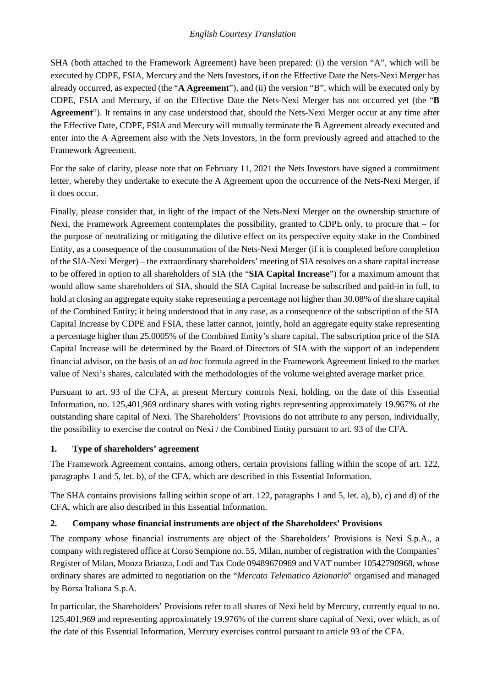SHA (both attached to the Framework Agreement) have been prepared: (i) the version "A", which will be executed by CDPE, FSIA, Mercury and the Nets Investors, if on the Effective Date the Nets-Nexi Merger has already occurred, as expected (the "**A Agreement**"), and (ii) the version "B", which will be executed only by CDPE, FSIA and Mercury, if on the Effective Date the Nets-Nexi Merger has not occurred yet (the "**B Agreement**"). It remains in any case understood that, should the Nets-Nexi Merger occur at any time after the Effective Date, CDPE, FSIA and Mercury will mutually terminate the B Agreement already executed and enter into the A Agreement also with the Nets Investors, in the form previously agreed and attached to the Framework Agreement.

For the sake of clarity, please note that on February 11, 2021 the Nets Investors have signed a commitment letter, whereby they undertake to execute the A Agreement upon the occurrence of the Nets-Nexi Merger, if it does occur.

Finally, please consider that, in light of the impact of the Nets-Nexi Merger on the ownership structure of Nexi, the Framework Agreement contemplates the possibility, granted to CDPE only, to procure that – for the purpose of neutralizing or mitigating the dilutive effect on its perspective equity stake in the Combined Entity, as a consequence of the consummation of the Nets-Nexi Merger (if it is completed before completion of the SIA-Nexi Merger) – the extraordinary shareholders' meeting of SIA resolves on a share capital increase to be offered in option to all shareholders of SIA (the "**SIA Capital Increase**") for a maximum amount that would allow same shareholders of SIA, should the SIA Capital Increase be subscribed and paid-in in full, to hold at closing an aggregate equity stake representing a percentage not higher than 30.08% of the share capital of the Combined Entity; it being understood that in any case, as a consequence of the subscription of the SIA Capital Increase by CDPE and FSIA, these latter cannot, jointly, hold an aggregate equity stake representing a percentage higher than 25.0005% of the Combined Entity's share capital. The subscription price of the SIA Capital Increase will be determined by the Board of Directors of SIA with the support of an independent financial advisor, on the basis of an *ad hoc* formula agreed in the Framework Agreement linked to the market value of Nexi's shares, calculated with the methodologies of the volume weighted average market price.

Pursuant to art. 93 of the CFA, at present Mercury controls Nexi, holding, on the date of this Essential Information, no. 125,401,969 ordinary shares with voting rights representing approximately 19.967% of the outstanding share capital of Nexi. The Shareholders' Provisions do not attribute to any person, individually, the possibility to exercise the control on Nexi / the Combined Entity pursuant to art. 93 of the CFA.

### **1. Type of shareholders' agreement**

The Framework Agreement contains, among others, certain provisions falling within the scope of art. 122, paragraphs 1 and 5, let. b), of the CFA, which are described in this Essential Information.

The SHA contains provisions falling within scope of art. 122, paragraphs 1 and 5, let. a), b), c) and d) of the CFA, which are also described in this Essential Information.

### **2. Company whose financial instruments are object of the Shareholders' Provisions**

The company whose financial instruments are object of the Shareholders' Provisions is Nexi S.p.A., a company with registered office at Corso Sempione no. 55, Milan, number of registration with the Companies' Register of Milan, Monza Brianza, Lodi and Tax Code 09489670969 and VAT number 10542790968, whose ordinary shares are admitted to negotiation on the "*Mercato Telematico Azionario*" organised and managed by Borsa Italiana S.p.A.

In particular, the Shareholders' Provisions refer to all shares of Nexi held by Mercury, currently equal to no. 125,401,969 and representing approximately 19.976% of the current share capital of Nexi, over which, as of the date of this Essential Information, Mercury exercises control pursuant to article 93 of the CFA.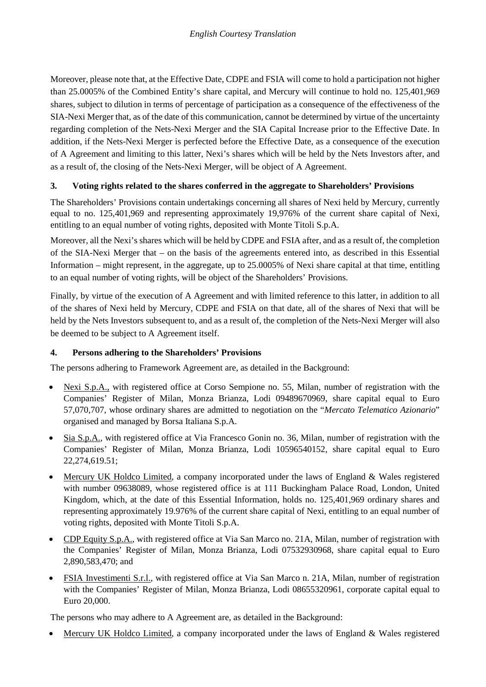Moreover, please note that, at the Effective Date, CDPE and FSIA will come to hold a participation not higher than 25.0005% of the Combined Entity's share capital, and Mercury will continue to hold no. 125,401,969 shares, subject to dilution in terms of percentage of participation as a consequence of the effectiveness of the SIA-Nexi Merger that, as of the date of this communication, cannot be determined by virtue of the uncertainty regarding completion of the Nets-Nexi Merger and the SIA Capital Increase prior to the Effective Date. In addition, if the Nets-Nexi Merger is perfected before the Effective Date, as a consequence of the execution of A Agreement and limiting to this latter, Nexi's shares which will be held by the Nets Investors after, and as a result of, the closing of the Nets-Nexi Merger, will be object of A Agreement.

# **3. Voting rights related to the shares conferred in the aggregate to Shareholders' Provisions**

The Shareholders' Provisions contain undertakings concerning all shares of Nexi held by Mercury, currently equal to no. 125,401,969 and representing approximately 19,976% of the current share capital of Nexi, entitling to an equal number of voting rights, deposited with Monte Titoli S.p.A.

Moreover, all the Nexi's shares which will be held by CDPE and FSIA after, and as a result of, the completion of the SIA-Nexi Merger that – on the basis of the agreements entered into, as described in this Essential Information – might represent, in the aggregate, up to 25.0005% of Nexi share capital at that time, entitling to an equal number of voting rights, will be object of the Shareholders' Provisions.

Finally, by virtue of the execution of A Agreement and with limited reference to this latter, in addition to all of the shares of Nexi held by Mercury, CDPE and FSIA on that date, all of the shares of Nexi that will be held by the Nets Investors subsequent to, and as a result of, the completion of the Nets-Nexi Merger will also be deemed to be subject to A Agreement itself.

# **4. Persons adhering to the Shareholders' Provisions**

The persons adhering to Framework Agreement are, as detailed in the Background:

- Nexi S.p.A., with registered office at Corso Sempione no. 55, Milan, number of registration with the Companies' Register of Milan, Monza Brianza, Lodi 09489670969, share capital equal to Euro 57,070,707, whose ordinary shares are admitted to negotiation on the "*Mercato Telematico Azionario*" organised and managed by Borsa Italiana S.p.A.
- Sia S.p.A., with registered office at Via Francesco Gonin no. 36, Milan, number of registration with the Companies' Register of Milan, Monza Brianza, Lodi 10596540152, share capital equal to Euro 22,274,619.51;
- Mercury UK Holdco Limited, a company incorporated under the laws of England & Wales registered with number 09638089, whose registered office is at 111 Buckingham Palace Road, London, United Kingdom, which, at the date of this Essential Information, holds no. 125,401,969 ordinary shares and representing approximately 19.976% of the current share capital of Nexi, entitling to an equal number of voting rights, deposited with Monte Titoli S.p.A.
- CDP Equity S.p.A., with registered office at Via San Marco no. 21A, Milan, number of registration with the Companies' Register of Milan, Monza Brianza, Lodi 07532930968, share capital equal to Euro 2,890,583,470; and
- FSIA Investimenti S.r.l., with registered office at Via San Marco n. 21A, Milan, number of registration with the Companies' Register of Milan, Monza Brianza, Lodi 08655320961, corporate capital equal to Euro 20,000.

The persons who may adhere to A Agreement are, as detailed in the Background:

• Mercury UK Holdco Limited, a company incorporated under the laws of England & Wales registered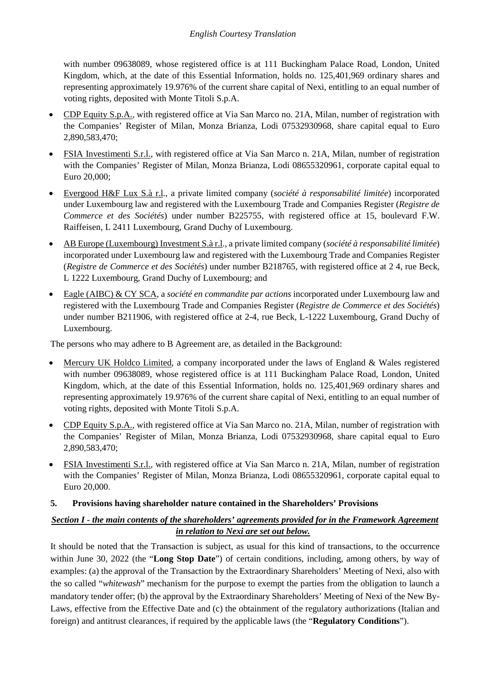with number 09638089, whose registered office is at 111 Buckingham Palace Road, London, United Kingdom, which, at the date of this Essential Information, holds no. 125,401,969 ordinary shares and representing approximately 19.976% of the current share capital of Nexi, entitling to an equal number of voting rights, deposited with Monte Titoli S.p.A.

- CDP Equity S.p.A., with registered office at Via San Marco no. 21A, Milan, number of registration with the Companies' Register of Milan, Monza Brianza, Lodi 07532930968, share capital equal to Euro 2,890,583,470;
- FSIA Investimenti S.r.l., with registered office at Via San Marco n. 21A, Milan, number of registration with the Companies' Register of Milan, Monza Brianza, Lodi 08655320961, corporate capital equal to Euro 20,000;
- Evergood H&F Lux S.à r.l., a private limited company (*société à responsabilité limitée*) incorporated under Luxembourg law and registered with the Luxembourg Trade and Companies Register (*Registre de Commerce et des Sociétés*) under number B225755, with registered office at 15, boulevard F.W. Raiffeisen, L 2411 Luxembourg, Grand Duchy of Luxembourg.
- AB Europe (Luxembourg) Investment S.à r.l., a private limited company (*société à responsabilité limitée*) incorporated under Luxembourg law and registered with the Luxembourg Trade and Companies Register (*Registre de Commerce et des Sociétés*) under number B218765, with registered office at 2 4, rue Beck, L 1222 Luxembourg, Grand Duchy of Luxembourg; and
- Eagle (AIBC) & CY SCA, a *société en commandite par actions* incorporated under Luxembourg law and registered with the Luxembourg Trade and Companies Register (*Registre de Commerce et des Sociétés*) under number B211906, with registered office at 2-4, rue Beck, L-1222 Luxembourg, Grand Duchy of Luxembourg.

The persons who may adhere to B Agreement are, as detailed in the Background:

- Mercury UK Holdco Limited, a company incorporated under the laws of England & Wales registered with number 09638089, whose registered office is at 111 Buckingham Palace Road, London, United Kingdom, which, at the date of this Essential Information, holds no. 125,401,969 ordinary shares and representing approximately 19.976% of the current share capital of Nexi, entitling to an equal number of voting rights, deposited with Monte Titoli S.p.A.
- CDP Equity S.p.A., with registered office at Via San Marco no. 21A, Milan, number of registration with the Companies' Register of Milan, Monza Brianza, Lodi 07532930968, share capital equal to Euro 2,890,583,470;
- FSIA Investimenti S.r.l., with registered office at Via San Marco n. 21A, Milan, number of registration with the Companies' Register of Milan, Monza Brianza, Lodi 08655320961, corporate capital equal to Euro 20,000.
- **5. Provisions having shareholder nature contained in the Shareholders' Provisions**

# *Section I - the main contents of the shareholders' agreements provided for in the Framework Agreement in relation to Nexi are set out below.*

It should be noted that the Transaction is subject, as usual for this kind of transactions, to the occurrence within June 30, 2022 (the "**Long Stop Date**") of certain conditions, including, among others, by way of examples: (a) the approval of the Transaction by the Extraordinary Shareholders' Meeting of Nexi, also with the so called "*whitewash*" mechanism for the purpose to exempt the parties from the obligation to launch a mandatory tender offer; (b) the approval by the Extraordinary Shareholders' Meeting of Nexi of the New By-Laws, effective from the Effective Date and (c) the obtainment of the regulatory authorizations (Italian and foreign) and antitrust clearances, if required by the applicable laws (the "**Regulatory Conditions**").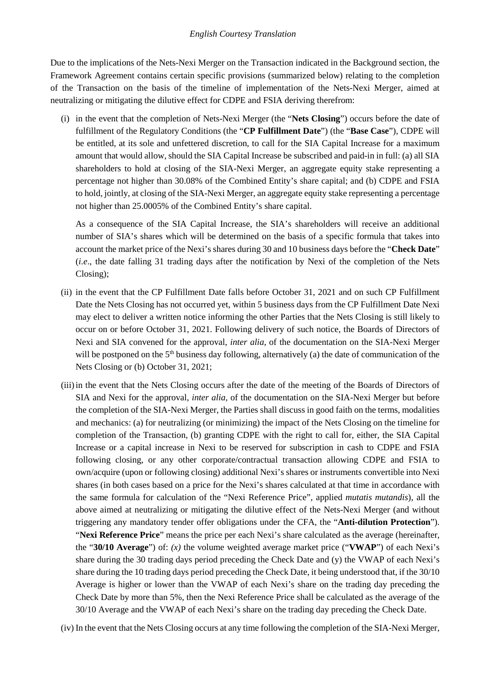Due to the implications of the Nets-Nexi Merger on the Transaction indicated in the Background section, the Framework Agreement contains certain specific provisions (summarized below) relating to the completion of the Transaction on the basis of the timeline of implementation of the Nets-Nexi Merger, aimed at neutralizing or mitigating the dilutive effect for CDPE and FSIA deriving therefrom:

(i) in the event that the completion of Nets-Nexi Merger (the "**Nets Closing**") occurs before the date of fulfillment of the Regulatory Conditions (the "**CP Fulfillment Date**") (the "**Base Case**"), CDPE will be entitled, at its sole and unfettered discretion, to call for the SIA Capital Increase for a maximum amount that would allow, should the SIA Capital Increase be subscribed and paid-in in full: (a) all SIA shareholders to hold at closing of the SIA-Nexi Merger, an aggregate equity stake representing a percentage not higher than 30.08% of the Combined Entity's share capital; and (b) CDPE and FSIA to hold, jointly, at closing of the SIA-Nexi Merger, an aggregate equity stake representing a percentage not higher than 25.0005% of the Combined Entity's share capital.

As a consequence of the SIA Capital Increase, the SIA's shareholders will receive an additional number of SIA's shares which will be determined on the basis of a specific formula that takes into account the market price of the Nexi's shares during 30 and 10 business days before the "**Check Date**" (*i.e*., the date falling 31 trading days after the notification by Nexi of the completion of the Nets Closing);

- (ii) in the event that the CP Fulfillment Date falls before October 31, 2021 and on such CP Fulfillment Date the Nets Closing has not occurred yet, within 5 business days from the CP Fulfillment Date Nexi may elect to deliver a written notice informing the other Parties that the Nets Closing is still likely to occur on or before October 31, 2021. Following delivery of such notice, the Boards of Directors of Nexi and SIA convened for the approval, *inter alia*, of the documentation on the SIA-Nexi Merger will be postponed on the  $5<sup>th</sup>$  business day following, alternatively (a) the date of communication of the Nets Closing or (b) October 31, 2021;
- (iii)in the event that the Nets Closing occurs after the date of the meeting of the Boards of Directors of SIA and Nexi for the approval, *inter alia*, of the documentation on the SIA-Nexi Merger but before the completion of the SIA-Nexi Merger, the Parties shall discuss in good faith on the terms, modalities and mechanics: (a) for neutralizing (or minimizing) the impact of the Nets Closing on the timeline for completion of the Transaction, (b) granting CDPE with the right to call for, either, the SIA Capital Increase or a capital increase in Nexi to be reserved for subscription in cash to CDPE and FSIA following closing, or any other corporate/contractual transaction allowing CDPE and FSIA to own/acquire (upon or following closing) additional Nexi's shares or instruments convertible into Nexi shares (in both cases based on a price for the Nexi's shares calculated at that time in accordance with the same formula for calculation of the "Nexi Reference Price", applied *mutatis mutandis*), all the above aimed at neutralizing or mitigating the dilutive effect of the Nets-Nexi Merger (and without triggering any mandatory tender offer obligations under the CFA, the "**Anti-dilution Protection**"). "**Nexi Reference Price**" means the price per each Nexi's share calculated as the average (hereinafter, the "**30/10 Average**") of: *(x)* the volume weighted average market price ("**VWAP**") of each Nexi's share during the 30 trading days period preceding the Check Date and (y) the VWAP of each Nexi's share during the 10 trading days period preceding the Check Date, it being understood that, if the 30/10 Average is higher or lower than the VWAP of each Nexi's share on the trading day preceding the Check Date by more than 5%, then the Nexi Reference Price shall be calculated as the average of the 30/10 Average and the VWAP of each Nexi's share on the trading day preceding the Check Date.

(iv) In the event that the Nets Closing occurs at any time following the completion of the SIA-Nexi Merger,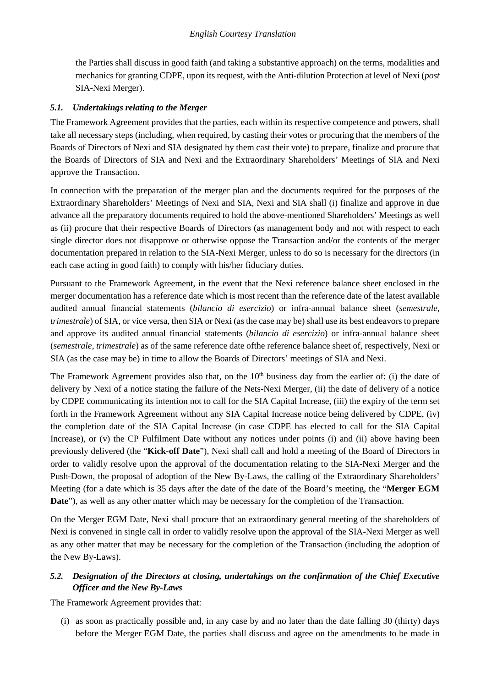the Parties shall discuss in good faith (and taking a substantive approach) on the terms, modalities and mechanics for granting CDPE, upon its request, with the Anti-dilution Protection at level of Nexi (*post* SIA-Nexi Merger).

## *5.1. Undertakings relating to the Merger*

The Framework Agreement provides that the parties, each within its respective competence and powers, shall take all necessary steps (including, when required, by casting their votes or procuring that the members of the Boards of Directors of Nexi and SIA designated by them cast their vote) to prepare, finalize and procure that the Boards of Directors of SIA and Nexi and the Extraordinary Shareholders' Meetings of SIA and Nexi approve the Transaction.

In connection with the preparation of the merger plan and the documents required for the purposes of the Extraordinary Shareholders' Meetings of Nexi and SIA, Nexi and SIA shall (i) finalize and approve in due advance all the preparatory documents required to hold the above-mentioned Shareholders' Meetings as well as (ii) procure that their respective Boards of Directors (as management body and not with respect to each single director does not disapprove or otherwise oppose the Transaction and/or the contents of the merger documentation prepared in relation to the SIA-Nexi Merger, unless to do so is necessary for the directors (in each case acting in good faith) to comply with his/her fiduciary duties.

Pursuant to the Framework Agreement, in the event that the Nexi reference balance sheet enclosed in the merger documentation has a reference date which is most recent than the reference date of the latest available audited annual financial statements (*bilancio di esercizio*) or infra-annual balance sheet (*semestrale, trimestrale*) of SIA, or vice versa, then SIA or Nexi (as the case may be) shall use its best endeavors to prepare and approve its audited annual financial statements (*bilancio di esercizio*) or infra-annual balance sheet (*semestrale, trimestrale*) as of the same reference date ofthe reference balance sheet of, respectively, Nexi or SIA (as the case may be) in time to allow the Boards of Directors' meetings of SIA and Nexi.

The Framework Agreement provides also that, on the 10<sup>th</sup> business day from the earlier of: (i) the date of delivery by Nexi of a notice stating the failure of the Nets-Nexi Merger, (ii) the date of delivery of a notice by CDPE communicating its intention not to call for the SIA Capital Increase, (iii) the expiry of the term set forth in the Framework Agreement without any SIA Capital Increase notice being delivered by CDPE, (iv) the completion date of the SIA Capital Increase (in case CDPE has elected to call for the SIA Capital Increase), or (v) the CP Fulfilment Date without any notices under points (i) and (ii) above having been previously delivered (the "**Kick-off Date**"), Nexi shall call and hold a meeting of the Board of Directors in order to validly resolve upon the approval of the documentation relating to the SIA-Nexi Merger and the Push-Down, the proposal of adoption of the New By-Laws, the calling of the Extraordinary Shareholders' Meeting (for a date which is 35 days after the date of the date of the Board's meeting, the "**Merger EGM Date**"), as well as any other matter which may be necessary for the completion of the Transaction.

On the Merger EGM Date, Nexi shall procure that an extraordinary general meeting of the shareholders of Nexi is convened in single call in order to validly resolve upon the approval of the SIA-Nexi Merger as well as any other matter that may be necessary for the completion of the Transaction (including the adoption of the New By-Laws).

# *5.2. Designation of the Directors at closing, undertakings on the confirmation of the Chief Executive Officer and the New By-Laws*

The Framework Agreement provides that:

(i) as soon as practically possible and, in any case by and no later than the date falling 30 (thirty) days before the Merger EGM Date, the parties shall discuss and agree on the amendments to be made in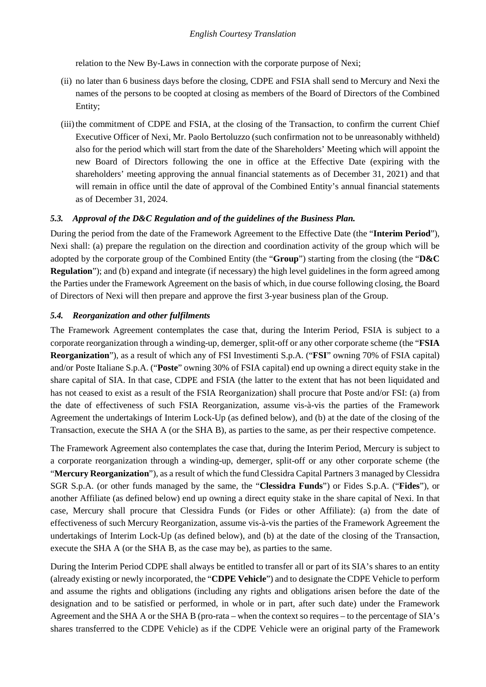relation to the New By-Laws in connection with the corporate purpose of Nexi;

- (ii) no later than 6 business days before the closing, CDPE and FSIA shall send to Mercury and Nexi the names of the persons to be coopted at closing as members of the Board of Directors of the Combined Entity;
- (iii) the commitment of CDPE and FSIA, at the closing of the Transaction, to confirm the current Chief Executive Officer of Nexi, Mr. Paolo Bertoluzzo (such confirmation not to be unreasonably withheld) also for the period which will start from the date of the Shareholders' Meeting which will appoint the new Board of Directors following the one in office at the Effective Date (expiring with the shareholders' meeting approving the annual financial statements as of December 31, 2021) and that will remain in office until the date of approval of the Combined Entity's annual financial statements as of December 31, 2024.

## *5.3. Approval of the D&C Regulation and of the guidelines of the Business Plan.*

During the period from the date of the Framework Agreement to the Effective Date (the "**Interim Period**"), Nexi shall: (a) prepare the regulation on the direction and coordination activity of the group which will be adopted by the corporate group of the Combined Entity (the "**Group**") starting from the closing (the "**D&C Regulation**"); and (b) expand and integrate (if necessary) the high level guidelines in the form agreed among the Parties under the Framework Agreement on the basis of which, in due course following closing, the Board of Directors of Nexi will then prepare and approve the first 3-year business plan of the Group.

## *5.4. Reorganization and other fulfilments*

The Framework Agreement contemplates the case that, during the Interim Period, FSIA is subject to a corporate reorganization through a winding-up, demerger, split-off or any other corporate scheme (the "**FSIA Reorganization**"), as a result of which any of FSI Investimenti S.p.A. ("**FSI**" owning 70% of FSIA capital) and/or Poste Italiane S.p.A. ("**Poste**" owning 30% of FSIA capital) end up owning a direct equity stake in the share capital of SIA. In that case, CDPE and FSIA (the latter to the extent that has not been liquidated and has not ceased to exist as a result of the FSIA Reorganization) shall procure that Poste and/or FSI: (a) from the date of effectiveness of such FSIA Reorganization, assume vis-à-vis the parties of the Framework Agreement the undertakings of Interim Lock-Up (as defined below), and (b) at the date of the closing of the Transaction, execute the SHA A (or the SHA B), as parties to the same, as per their respective competence.

The Framework Agreement also contemplates the case that, during the Interim Period, Mercury is subject to a corporate reorganization through a winding-up, demerger, split-off or any other corporate scheme (the "**Mercury Reorganization**"), as a result of which the fund Clessidra Capital Partners 3 managed by Clessidra SGR S.p.A. (or other funds managed by the same, the "**Clessidra Funds**") or Fides S.p.A. ("**Fides**"), or another Affiliate (as defined below) end up owning a direct equity stake in the share capital of Nexi. In that case, Mercury shall procure that Clessidra Funds (or Fides or other Affiliate): (a) from the date of effectiveness of such Mercury Reorganization, assume vis-à-vis the parties of the Framework Agreement the undertakings of Interim Lock-Up (as defined below), and (b) at the date of the closing of the Transaction, execute the SHA A (or the SHA B, as the case may be), as parties to the same.

During the Interim Period CDPE shall always be entitled to transfer all or part of its SIA's shares to an entity (already existing or newly incorporated, the "**CDPE Vehicle**") and to designate the CDPE Vehicle to perform and assume the rights and obligations (including any rights and obligations arisen before the date of the designation and to be satisfied or performed, in whole or in part, after such date) under the Framework Agreement and the SHA A or the SHA B (pro-rata – when the context so requires – to the percentage of SIA's shares transferred to the CDPE Vehicle) as if the CDPE Vehicle were an original party of the Framework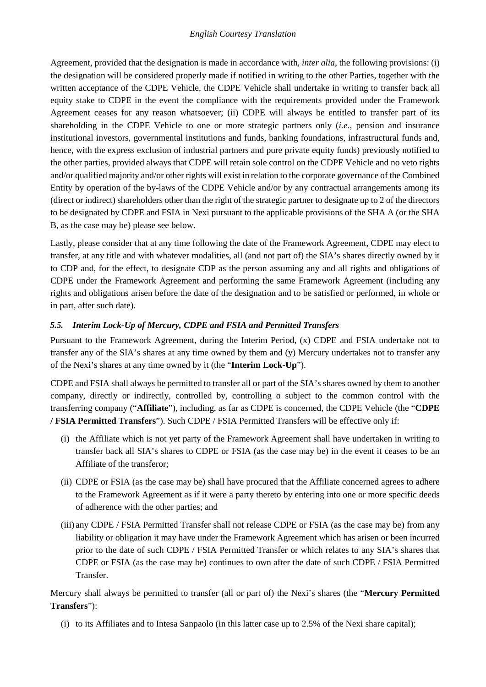Agreement, provided that the designation is made in accordance with, *inter alia*, the following provisions: (i) the designation will be considered properly made if notified in writing to the other Parties, together with the written acceptance of the CDPE Vehicle, the CDPE Vehicle shall undertake in writing to transfer back all equity stake to CDPE in the event the compliance with the requirements provided under the Framework Agreement ceases for any reason whatsoever; (ii) CDPE will always be entitled to transfer part of its shareholding in the CDPE Vehicle to one or more strategic partners only (*i.e.,* pension and insurance institutional investors, governmental institutions and funds, banking foundations, infrastructural funds and, hence, with the express exclusion of industrial partners and pure private equity funds) previously notified to the other parties, provided always that CDPE will retain sole control on the CDPE Vehicle and no veto rights and/or qualified majority and/or other rights will exist in relation to the corporate governance of the Combined Entity by operation of the by-laws of the CDPE Vehicle and/or by any contractual arrangements among its (direct or indirect) shareholders other than the right of the strategic partner to designate up to 2 of the directors to be designated by CDPE and FSIA in Nexi pursuant to the applicable provisions of the SHA A (or the SHA B, as the case may be) please see below.

Lastly, please consider that at any time following the date of the Framework Agreement, CDPE may elect to transfer, at any title and with whatever modalities, all (and not part of) the SIA's shares directly owned by it to CDP and, for the effect, to designate CDP as the person assuming any and all rights and obligations of CDPE under the Framework Agreement and performing the same Framework Agreement (including any rights and obligations arisen before the date of the designation and to be satisfied or performed, in whole or in part, after such date).

# *5.5. Interim Lock-Up of Mercury, CDPE and FSIA and Permitted Transfers*

Pursuant to the Framework Agreement, during the Interim Period, (x) CDPE and FSIA undertake not to transfer any of the SIA's shares at any time owned by them and (y) Mercury undertakes not to transfer any of the Nexi's shares at any time owned by it (the "**Interim Lock-Up**").

CDPE and FSIA shall always be permitted to transfer all or part of the SIA's shares owned by them to another company, directly or indirectly, controlled by, controlling o subject to the common control with the transferring company ("**Affiliate**"), including, as far as CDPE is concerned, the CDPE Vehicle (the "**CDPE / FSIA Permitted Transfers**"). Such CDPE / FSIA Permitted Transfers will be effective only if:

- (i) the Affiliate which is not yet party of the Framework Agreement shall have undertaken in writing to transfer back all SIA's shares to CDPE or FSIA (as the case may be) in the event it ceases to be an Affiliate of the transferor;
- (ii) CDPE or FSIA (as the case may be) shall have procured that the Affiliate concerned agrees to adhere to the Framework Agreement as if it were a party thereto by entering into one or more specific deeds of adherence with the other parties; and
- (iii) any CDPE / FSIA Permitted Transfer shall not release CDPE or FSIA (as the case may be) from any liability or obligation it may have under the Framework Agreement which has arisen or been incurred prior to the date of such CDPE / FSIA Permitted Transfer or which relates to any SIA's shares that CDPE or FSIA (as the case may be) continues to own after the date of such CDPE / FSIA Permitted Transfer.

Mercury shall always be permitted to transfer (all or part of) the Nexi's shares (the "**Mercury Permitted Transfers**"):

(i) to its Affiliates and to Intesa Sanpaolo (in this latter case up to 2.5% of the Nexi share capital);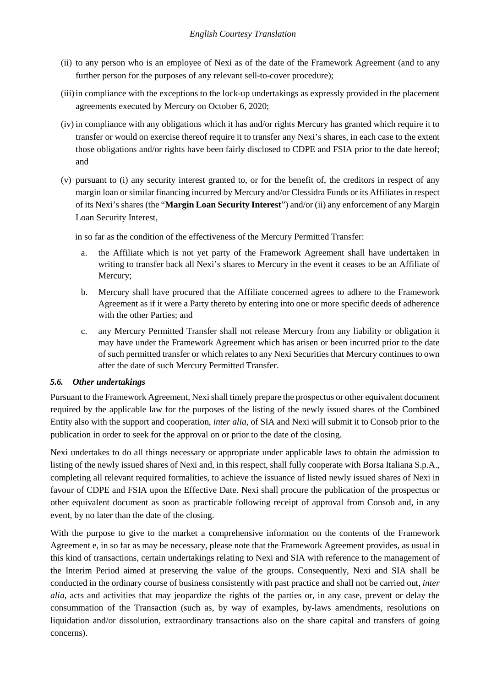- (ii) to any person who is an employee of Nexi as of the date of the Framework Agreement (and to any further person for the purposes of any relevant sell-to-cover procedure);
- (iii)in compliance with the exceptions to the lock-up undertakings as expressly provided in the placement agreements executed by Mercury on October 6, 2020;
- (iv) in compliance with any obligations which it has and/or rights Mercury has granted which require it to transfer or would on exercise thereof require it to transfer any Nexi's shares, in each case to the extent those obligations and/or rights have been fairly disclosed to CDPE and FSIA prior to the date hereof; and
- (v) pursuant to (i) any security interest granted to, or for the benefit of, the creditors in respect of any margin loan or similar financing incurred by Mercury and/or Clessidra Funds or its Affiliates in respect of its Nexi's shares (the "**Margin Loan Security Interest**") and/or (ii) any enforcement of any Margin Loan Security Interest,

in so far as the condition of the effectiveness of the Mercury Permitted Transfer:

- a. the Affiliate which is not yet party of the Framework Agreement shall have undertaken in writing to transfer back all Nexi's shares to Mercury in the event it ceases to be an Affiliate of Mercury;
- b. Mercury shall have procured that the Affiliate concerned agrees to adhere to the Framework Agreement as if it were a Party thereto by entering into one or more specific deeds of adherence with the other Parties; and
- c. any Mercury Permitted Transfer shall not release Mercury from any liability or obligation it may have under the Framework Agreement which has arisen or been incurred prior to the date of such permitted transfer or which relates to any Nexi Securities that Mercury continues to own after the date of such Mercury Permitted Transfer.

### *5.6. Other undertakings*

Pursuant to the Framework Agreement, Nexi shall timely prepare the prospectus or other equivalent document required by the applicable law for the purposes of the listing of the newly issued shares of the Combined Entity also with the support and cooperation, *inter alia*, of SIA and Nexi will submit it to Consob prior to the publication in order to seek for the approval on or prior to the date of the closing.

Nexi undertakes to do all things necessary or appropriate under applicable laws to obtain the admission to listing of the newly issued shares of Nexi and, in this respect, shall fully cooperate with Borsa Italiana S.p.A., completing all relevant required formalities, to achieve the issuance of listed newly issued shares of Nexi in favour of CDPE and FSIA upon the Effective Date. Nexi shall procure the publication of the prospectus or other equivalent document as soon as practicable following receipt of approval from Consob and, in any event, by no later than the date of the closing.

With the purpose to give to the market a comprehensive information on the contents of the Framework Agreement e, in so far as may be necessary, please note that the Framework Agreement provides, as usual in this kind of transactions, certain undertakings relating to Nexi and SIA with reference to the management of the Interim Period aimed at preserving the value of the groups. Consequently, Nexi and SIA shall be conducted in the ordinary course of business consistently with past practice and shall not be carried out, *inter alia*, acts and activities that may jeopardize the rights of the parties or, in any case, prevent or delay the consummation of the Transaction (such as, by way of examples, by-laws amendments, resolutions on liquidation and/or dissolution, extraordinary transactions also on the share capital and transfers of going concerns).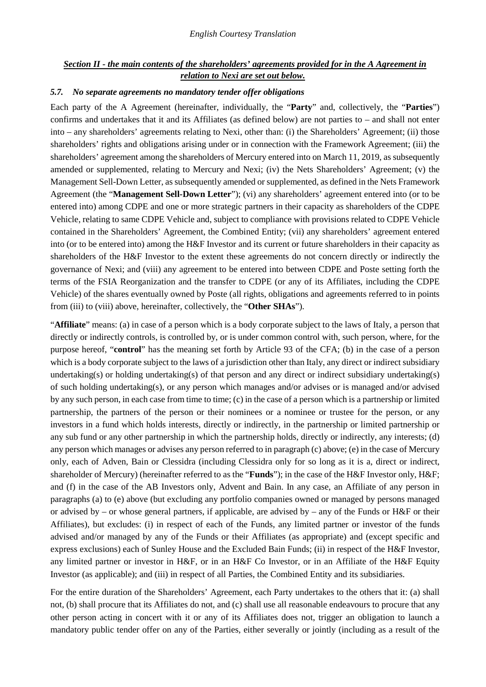### *Section II - the main contents of the shareholders' agreements provided for in the A Agreement in relation to Nexi are set out below.*

#### *5.7. No separate agreements no mandatory tender offer obligations*

Each party of the A Agreement (hereinafter, individually, the "**Party**" and, collectively, the "**Parties**") confirms and undertakes that it and its Affiliates (as defined below) are not parties to – and shall not enter into – any shareholders' agreements relating to Nexi, other than: (i) the Shareholders' Agreement; (ii) those shareholders' rights and obligations arising under or in connection with the Framework Agreement; (iii) the shareholders' agreement among the shareholders of Mercury entered into on March 11, 2019, as subsequently amended or supplemented, relating to Mercury and Nexi; (iv) the Nets Shareholders' Agreement; (v) the Management Sell-Down Letter, as subsequently amended or supplemented, as defined in the Nets Framework Agreement (the "**Management Sell-Down Letter**"); (vi) any shareholders' agreement entered into (or to be entered into) among CDPE and one or more strategic partners in their capacity as shareholders of the CDPE Vehicle, relating to same CDPE Vehicle and, subject to compliance with provisions related to CDPE Vehicle contained in the Shareholders' Agreement, the Combined Entity; (vii) any shareholders' agreement entered into (or to be entered into) among the H&F Investor and its current or future shareholders in their capacity as shareholders of the H&F Investor to the extent these agreements do not concern directly or indirectly the governance of Nexi; and (viii) any agreement to be entered into between CDPE and Poste setting forth the terms of the FSIA Reorganization and the transfer to CDPE (or any of its Affiliates, including the CDPE Vehicle) of the shares eventually owned by Poste (all rights, obligations and agreements referred to in points from (iii) to (viii) above, hereinafter, collectively, the "**Other SHAs**").

"**Affiliate**" means: (a) in case of a person which is a body corporate subject to the laws of Italy, a person that directly or indirectly controls, is controlled by, or is under common control with, such person, where, for the purpose hereof, "**control**" has the meaning set forth by Article 93 of the CFA; (b) in the case of a person which is a body corporate subject to the laws of a jurisdiction other than Italy, any direct or indirect subsidiary undertaking(s) or holding undertaking(s) of that person and any direct or indirect subsidiary undertaking(s) of such holding undertaking(s), or any person which manages and/or advises or is managed and/or advised by any such person, in each case from time to time; (c) in the case of a person which is a partnership or limited partnership, the partners of the person or their nominees or a nominee or trustee for the person, or any investors in a fund which holds interests, directly or indirectly, in the partnership or limited partnership or any sub fund or any other partnership in which the partnership holds, directly or indirectly, any interests; (d) any person which manages or advises any person referred to in paragraph (c) above; (e) in the case of Mercury only, each of Adven, Bain or Clessidra (including Clessidra only for so long as it is a, direct or indirect, shareholder of Mercury) (hereinafter referred to as the "**Funds**"); in the case of the H&F Investor only, H&F; and (f) in the case of the AB Investors only, Advent and Bain. In any case, an Affiliate of any person in paragraphs (a) to (e) above (but excluding any portfolio companies owned or managed by persons managed or advised by – or whose general partners, if applicable, are advised by – any of the Funds or H&F or their Affiliates), but excludes: (i) in respect of each of the Funds, any limited partner or investor of the funds advised and/or managed by any of the Funds or their Affiliates (as appropriate) and (except specific and express exclusions) each of Sunley House and the Excluded Bain Funds; (ii) in respect of the H&F Investor, any limited partner or investor in H&F, or in an H&F Co Investor, or in an Affiliate of the H&F Equity Investor (as applicable); and (iii) in respect of all Parties, the Combined Entity and its subsidiaries.

For the entire duration of the Shareholders' Agreement, each Party undertakes to the others that it: (a) shall not, (b) shall procure that its Affiliates do not, and (c) shall use all reasonable endeavours to procure that any other person acting in concert with it or any of its Affiliates does not, trigger an obligation to launch a mandatory public tender offer on any of the Parties, either severally or jointly (including as a result of the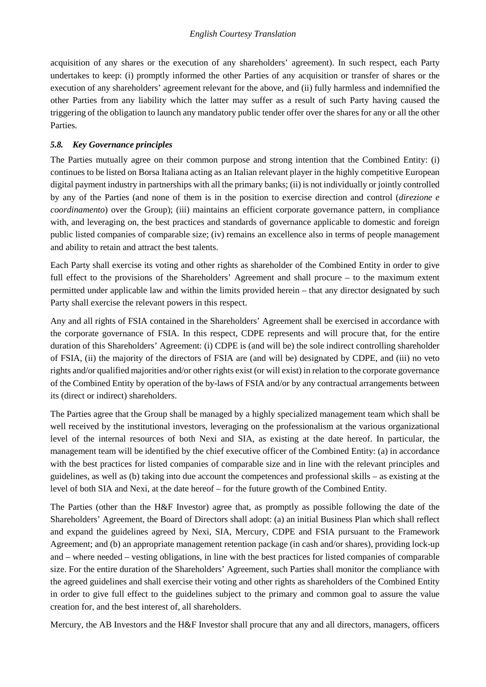acquisition of any shares or the execution of any shareholders' agreement). In such respect, each Party undertakes to keep: (i) promptly informed the other Parties of any acquisition or transfer of shares or the execution of any shareholders' agreement relevant for the above, and (ii) fully harmless and indemnified the other Parties from any liability which the latter may suffer as a result of such Party having caused the triggering of the obligation to launch any mandatory public tender offer over the shares for any or all the other Parties.

## *5.8. Key Governance principles*

The Parties mutually agree on their common purpose and strong intention that the Combined Entity: (i) continues to be listed on Borsa Italiana acting as an Italian relevant player in the highly competitive European digital payment industry in partnerships with all the primary banks; (ii) is not individually or jointly controlled by any of the Parties (and none of them is in the position to exercise direction and control (*direzione e coordinamento*) over the Group); (iii) maintains an efficient corporate governance pattern, in compliance with, and leveraging on, the best practices and standards of governance applicable to domestic and foreign public listed companies of comparable size; (iv) remains an excellence also in terms of people management and ability to retain and attract the best talents.

Each Party shall exercise its voting and other rights as shareholder of the Combined Entity in order to give full effect to the provisions of the Shareholders' Agreement and shall procure – to the maximum extent permitted under applicable law and within the limits provided herein – that any director designated by such Party shall exercise the relevant powers in this respect.

Any and all rights of FSIA contained in the Shareholders' Agreement shall be exercised in accordance with the corporate governance of FSIA. In this respect, CDPE represents and will procure that, for the entire duration of this Shareholders' Agreement: (i) CDPE is (and will be) the sole indirect controlling shareholder of FSIA, (ii) the majority of the directors of FSIA are (and will be) designated by CDPE, and (iii) no veto rights and/or qualified majorities and/or other rights exist (or will exist) in relation to the corporate governance of the Combined Entity by operation of the by-laws of FSIA and/or by any contractual arrangements between its (direct or indirect) shareholders.

The Parties agree that the Group shall be managed by a highly specialized management team which shall be well received by the institutional investors, leveraging on the professionalism at the various organizational level of the internal resources of both Nexi and SIA, as existing at the date hereof. In particular, the management team will be identified by the chief executive officer of the Combined Entity: (a) in accordance with the best practices for listed companies of comparable size and in line with the relevant principles and guidelines, as well as (b) taking into due account the competences and professional skills – as existing at the level of both SIA and Nexi, at the date hereof – for the future growth of the Combined Entity.

The Parties (other than the H&F Investor) agree that, as promptly as possible following the date of the Shareholders' Agreement, the Board of Directors shall adopt: (a) an initial Business Plan which shall reflect and expand the guidelines agreed by Nexi, SIA, Mercury, CDPE and FSIA pursuant to the Framework Agreement; and (b) an appropriate management retention package (in cash and/or shares), providing lock-up and – where needed – vesting obligations, in line with the best practices for listed companies of comparable size. For the entire duration of the Shareholders' Agreement, such Parties shall monitor the compliance with the agreed guidelines and shall exercise their voting and other rights as shareholders of the Combined Entity in order to give full effect to the guidelines subject to the primary and common goal to assure the value creation for, and the best interest of, all shareholders.

Mercury, the AB Investors and the H&F Investor shall procure that any and all directors, managers, officers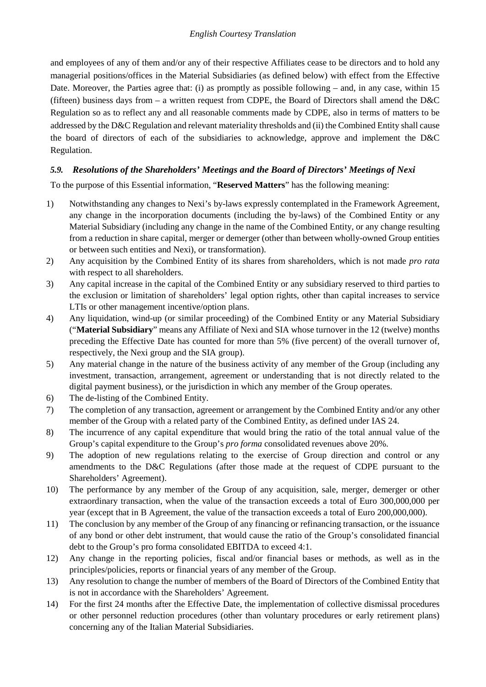and employees of any of them and/or any of their respective Affiliates cease to be directors and to hold any managerial positions/offices in the Material Subsidiaries (as defined below) with effect from the Effective Date. Moreover, the Parties agree that: (i) as promptly as possible following – and, in any case, within 15 (fifteen) business days from – a written request from CDPE, the Board of Directors shall amend the D&C Regulation so as to reflect any and all reasonable comments made by CDPE, also in terms of matters to be addressed by the D&C Regulation and relevant materiality thresholds and (ii) the Combined Entity shall cause the board of directors of each of the subsidiaries to acknowledge, approve and implement the D&C Regulation.

# *5.9. Resolutions of the Shareholders' Meetings and the Board of Directors' Meetings of Nexi*

To the purpose of this Essential information, "**Reserved Matters**" has the following meaning:

- 1) Notwithstanding any changes to Nexi's by-laws expressly contemplated in the Framework Agreement, any change in the incorporation documents (including the by-laws) of the Combined Entity or any Material Subsidiary (including any change in the name of the Combined Entity, or any change resulting from a reduction in share capital, merger or demerger (other than between wholly-owned Group entities or between such entities and Nexi), or transformation).
- 2) Any acquisition by the Combined Entity of its shares from shareholders, which is not made *pro rata* with respect to all shareholders.
- 3) Any capital increase in the capital of the Combined Entity or any subsidiary reserved to third parties to the exclusion or limitation of shareholders' legal option rights, other than capital increases to service LTIs or other management incentive/option plans.
- 4) Any liquidation, wind-up (or similar proceeding) of the Combined Entity or any Material Subsidiary ("**Material Subsidiary**" means any Affiliate of Nexi and SIA whose turnover in the 12 (twelve) months preceding the Effective Date has counted for more than 5% (five percent) of the overall turnover of, respectively, the Nexi group and the SIA group).
- 5) Any material change in the nature of the business activity of any member of the Group (including any investment, transaction, arrangement, agreement or understanding that is not directly related to the digital payment business), or the jurisdiction in which any member of the Group operates.
- 6) The de-listing of the Combined Entity.
- 7) The completion of any transaction, agreement or arrangement by the Combined Entity and/or any other member of the Group with a related party of the Combined Entity, as defined under IAS 24.
- 8) The incurrence of any capital expenditure that would bring the ratio of the total annual value of the Group's capital expenditure to the Group's *pro forma* consolidated revenues above 20%.
- 9) The adoption of new regulations relating to the exercise of Group direction and control or any amendments to the D&C Regulations (after those made at the request of CDPE pursuant to the Shareholders' Agreement).
- 10) The performance by any member of the Group of any acquisition, sale, merger, demerger or other extraordinary transaction, when the value of the transaction exceeds a total of Euro 300,000,000 per year (except that in B Agreement, the value of the transaction exceeds a total of Euro 200,000,000).
- 11) The conclusion by any member of the Group of any financing or refinancing transaction, or the issuance of any bond or other debt instrument, that would cause the ratio of the Group's consolidated financial debt to the Group's pro forma consolidated EBITDA to exceed 4:1.
- 12) Any change in the reporting policies, fiscal and/or financial bases or methods, as well as in the principles/policies, reports or financial years of any member of the Group.
- 13) Any resolution to change the number of members of the Board of Directors of the Combined Entity that is not in accordance with the Shareholders' Agreement.
- 14) For the first 24 months after the Effective Date, the implementation of collective dismissal procedures or other personnel reduction procedures (other than voluntary procedures or early retirement plans) concerning any of the Italian Material Subsidiaries.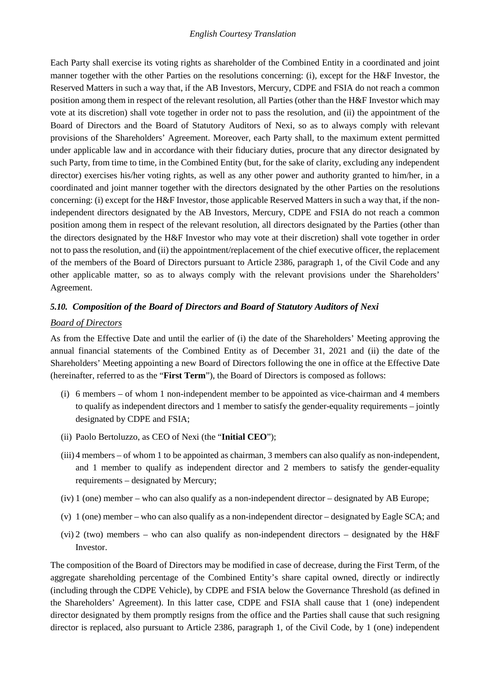Each Party shall exercise its voting rights as shareholder of the Combined Entity in a coordinated and joint manner together with the other Parties on the resolutions concerning: (i), except for the H&F Investor, the Reserved Matters in such a way that, if the AB Investors, Mercury, CDPE and FSIA do not reach a common position among them in respect of the relevant resolution, all Parties (other than the H&F Investor which may vote at its discretion) shall vote together in order not to pass the resolution, and (ii) the appointment of the Board of Directors and the Board of Statutory Auditors of Nexi, so as to always comply with relevant provisions of the Shareholders' Agreement. Moreover, each Party shall, to the maximum extent permitted under applicable law and in accordance with their fiduciary duties, procure that any director designated by such Party, from time to time, in the Combined Entity (but, for the sake of clarity, excluding any independent director) exercises his/her voting rights, as well as any other power and authority granted to him/her, in a coordinated and joint manner together with the directors designated by the other Parties on the resolutions concerning: (i) except for the H&F Investor, those applicable Reserved Matters in such a way that, if the nonindependent directors designated by the AB Investors, Mercury, CDPE and FSIA do not reach a common position among them in respect of the relevant resolution, all directors designated by the Parties (other than the directors designated by the H&F Investor who may vote at their discretion) shall vote together in order not to pass the resolution, and (ii) the appointment/replacement of the chief executive officer, the replacement of the members of the Board of Directors pursuant to Article 2386, paragraph 1, of the Civil Code and any other applicable matter, so as to always comply with the relevant provisions under the Shareholders' Agreement.

### *5.10. Composition of the Board of Directors and Board of Statutory Auditors of Nexi*

#### *Board of Directors*

As from the Effective Date and until the earlier of (i) the date of the Shareholders' Meeting approving the annual financial statements of the Combined Entity as of December 31, 2021 and (ii) the date of the Shareholders' Meeting appointing a new Board of Directors following the one in office at the Effective Date (hereinafter, referred to as the "**First Term**"), the Board of Directors is composed as follows:

- (i) 6 members of whom 1 non-independent member to be appointed as vice-chairman and 4 members to qualify as independent directors and 1 member to satisfy the gender-equality requirements – jointly designated by CDPE and FSIA;
- (ii) Paolo Bertoluzzo, as CEO of Nexi (the "**Initial CEO**");
- (iii) 4 members of whom 1 to be appointed as chairman, 3 members can also qualify as non-independent, and 1 member to qualify as independent director and 2 members to satisfy the gender-equality requirements – designated by Mercury;
- (iv) 1 (one) member who can also qualify as a non-independent director designated by AB Europe;
- (v) 1 (one) member who can also qualify as a non-independent director designated by Eagle SCA; and
- (vi) 2 (two) members who can also qualify as non-independent directors designated by the  $H \&F$ Investor.

The composition of the Board of Directors may be modified in case of decrease, during the First Term, of the aggregate shareholding percentage of the Combined Entity's share capital owned, directly or indirectly (including through the CDPE Vehicle), by CDPE and FSIA below the Governance Threshold (as defined in the Shareholders' Agreement). In this latter case, CDPE and FSIA shall cause that 1 (one) independent director designated by them promptly resigns from the office and the Parties shall cause that such resigning director is replaced, also pursuant to Article 2386, paragraph 1, of the Civil Code, by 1 (one) independent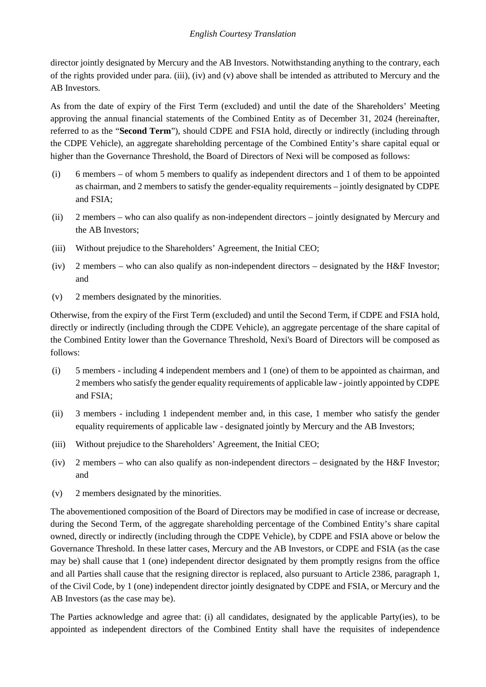director jointly designated by Mercury and the AB Investors. Notwithstanding anything to the contrary, each of the rights provided under para. (iii), (iv) and (v) above shall be intended as attributed to Mercury and the AB Investors.

As from the date of expiry of the First Term (excluded) and until the date of the Shareholders' Meeting approving the annual financial statements of the Combined Entity as of December 31, 2024 (hereinafter, referred to as the "**Second Term**"), should CDPE and FSIA hold, directly or indirectly (including through the CDPE Vehicle), an aggregate shareholding percentage of the Combined Entity's share capital equal or higher than the Governance Threshold, the Board of Directors of Nexi will be composed as follows:

- (i) 6 members of whom 5 members to qualify as independent directors and 1 of them to be appointed as chairman, and 2 members to satisfy the gender-equality requirements – jointly designated by CDPE and FSIA;
- (ii) 2 members who can also qualify as non-independent directors jointly designated by Mercury and the AB Investors;
- (iii) Without prejudice to the Shareholders' Agreement, the Initial CEO;
- (iv) 2 members who can also qualify as non-independent directors designated by the H&F Investor; and
- (v) 2 members designated by the minorities.

Otherwise, from the expiry of the First Term (excluded) and until the Second Term, if CDPE and FSIA hold, directly or indirectly (including through the CDPE Vehicle), an aggregate percentage of the share capital of the Combined Entity lower than the Governance Threshold, Nexi's Board of Directors will be composed as follows:

- (i) 5 members including 4 independent members and 1 (one) of them to be appointed as chairman, and 2 members who satisfy the gender equality requirements of applicable law -jointly appointed by CDPE and FSIA;
- (ii) 3 members including 1 independent member and, in this case, 1 member who satisfy the gender equality requirements of applicable law - designated jointly by Mercury and the AB Investors;
- (iii) Without prejudice to the Shareholders' Agreement, the Initial CEO;
- (iv) 2 members who can also qualify as non-independent directors designated by the H&F Investor; and
- (v) 2 members designated by the minorities.

The abovementioned composition of the Board of Directors may be modified in case of increase or decrease, during the Second Term, of the aggregate shareholding percentage of the Combined Entity's share capital owned, directly or indirectly (including through the CDPE Vehicle), by CDPE and FSIA above or below the Governance Threshold. In these latter cases, Mercury and the AB Investors, or CDPE and FSIA (as the case may be) shall cause that 1 (one) independent director designated by them promptly resigns from the office and all Parties shall cause that the resigning director is replaced, also pursuant to Article 2386, paragraph 1, of the Civil Code, by 1 (one) independent director jointly designated by CDPE and FSIA, or Mercury and the AB Investors (as the case may be).

The Parties acknowledge and agree that: (i) all candidates, designated by the applicable Party(ies), to be appointed as independent directors of the Combined Entity shall have the requisites of independence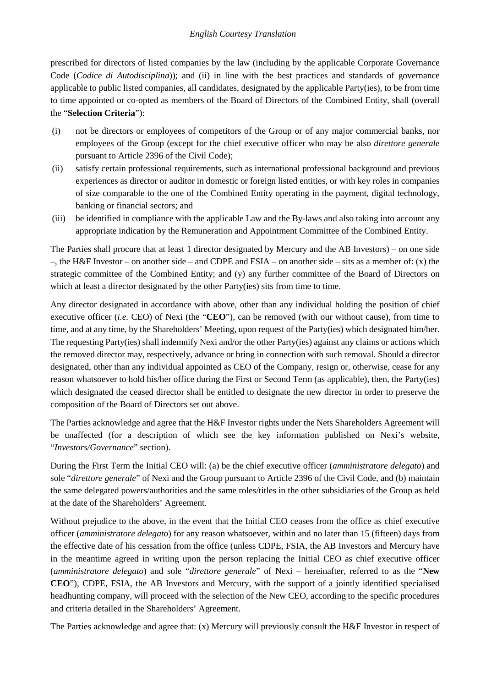prescribed for directors of listed companies by the law (including by the applicable Corporate Governance Code (*Codice di Autodisciplina*)); and (ii) in line with the best practices and standards of governance applicable to public listed companies, all candidates, designated by the applicable Party(ies), to be from time to time appointed or co-opted as members of the Board of Directors of the Combined Entity, shall (overall the "**Selection Criteria**"):

- (i) not be directors or employees of competitors of the Group or of any major commercial banks, nor employees of the Group (except for the chief executive officer who may be also *direttore generale* pursuant to Article 2396 of the Civil Code);
- (ii) satisfy certain professional requirements, such as international professional background and previous experiences as director or auditor in domestic or foreign listed entities, or with key roles in companies of size comparable to the one of the Combined Entity operating in the payment, digital technology, banking or financial sectors; and
- (iii) be identified in compliance with the applicable Law and the By-laws and also taking into account any appropriate indication by the Remuneration and Appointment Committee of the Combined Entity.

The Parties shall procure that at least 1 director designated by Mercury and the AB Investors) – on one side –, the H&F Investor – on another side – and CDPE and FSIA – on another side – sits as a member of: (x) the strategic committee of the Combined Entity; and (y) any further committee of the Board of Directors on which at least a director designated by the other Party(ies) sits from time to time.

Any director designated in accordance with above, other than any individual holding the position of chief executive officer (*i.e.* CEO) of Nexi (the "**CEO**"), can be removed (with our without cause), from time to time, and at any time, by the Shareholders' Meeting, upon request of the Party(ies) which designated him/her. The requesting Party(ies) shall indemnify Nexi and/or the other Party(ies) against any claims or actions which the removed director may, respectively, advance or bring in connection with such removal. Should a director designated, other than any individual appointed as CEO of the Company, resign or, otherwise, cease for any reason whatsoever to hold his/her office during the First or Second Term (as applicable), then, the Party(ies) which designated the ceased director shall be entitled to designate the new director in order to preserve the composition of the Board of Directors set out above.

The Parties acknowledge and agree that the H&F Investor rights under the Nets Shareholders Agreement will be unaffected (for a description of which see the key information published on Nexi's website, "*Investors/Governance*" section).

During the First Term the Initial CEO will: (a) be the chief executive officer (*amministratore delegato*) and sole "*direttore generale*" of Nexi and the Group pursuant to Article 2396 of the Civil Code, and (b) maintain the same delegated powers/authorities and the same roles/titles in the other subsidiaries of the Group as held at the date of the Shareholders' Agreement.

Without prejudice to the above, in the event that the Initial CEO ceases from the office as chief executive officer (*amministratore delegato*) for any reason whatsoever, within and no later than 15 (fifteen) days from the effective date of his cessation from the office (unless CDPE, FSIA, the AB Investors and Mercury have in the meantime agreed in writing upon the person replacing the Initial CEO as chief executive officer (*amministratore delegato*) and sole "*direttore generale*" of Nexi – hereinafter, referred to as the "**New CEO**"), CDPE, FSIA, the AB Investors and Mercury, with the support of a jointly identified specialised headhunting company, will proceed with the selection of the New CEO, according to the specific procedures and criteria detailed in the Shareholders' Agreement.

The Parties acknowledge and agree that: (x) Mercury will previously consult the H&F Investor in respect of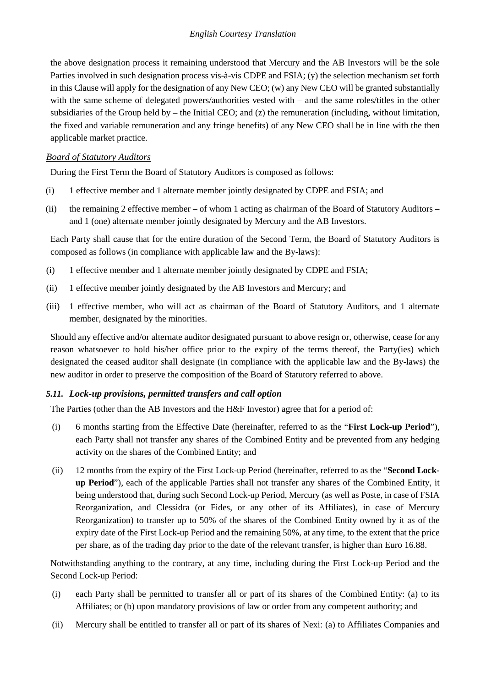the above designation process it remaining understood that Mercury and the AB Investors will be the sole Parties involved in such designation process vis-à-vis CDPE and FSIA; (y) the selection mechanism set forth in this Clause will apply for the designation of any New CEO; (w) any New CEO will be granted substantially with the same scheme of delegated powers/authorities vested with – and the same roles/titles in the other subsidiaries of the Group held by – the Initial CEO; and (z) the remuneration (including, without limitation, the fixed and variable remuneration and any fringe benefits) of any New CEO shall be in line with the then applicable market practice.

### *Board of Statutory Auditors*

During the First Term the Board of Statutory Auditors is composed as follows:

- (i) 1 effective member and 1 alternate member jointly designated by CDPE and FSIA; and
- (ii) the remaining 2 effective member of whom 1 acting as chairman of the Board of Statutory Auditors and 1 (one) alternate member jointly designated by Mercury and the AB Investors.

Each Party shall cause that for the entire duration of the Second Term, the Board of Statutory Auditors is composed as follows (in compliance with applicable law and the By-laws):

- (i) 1 effective member and 1 alternate member jointly designated by CDPE and FSIA;
- (ii) 1 effective member jointly designated by the AB Investors and Mercury; and
- (iii) 1 effective member, who will act as chairman of the Board of Statutory Auditors, and 1 alternate member, designated by the minorities.

Should any effective and/or alternate auditor designated pursuant to above resign or, otherwise, cease for any reason whatsoever to hold his/her office prior to the expiry of the terms thereof, the Party(ies) which designated the ceased auditor shall designate (in compliance with the applicable law and the By-laws) the new auditor in order to preserve the composition of the Board of Statutory referred to above.

### *5.11. Lock-up provisions, permitted transfers and call option*

The Parties (other than the AB Investors and the H&F Investor) agree that for a period of:

- (i) 6 months starting from the Effective Date (hereinafter, referred to as the "**First Lock-up Period**"), each Party shall not transfer any shares of the Combined Entity and be prevented from any hedging activity on the shares of the Combined Entity; and
- (ii) 12 months from the expiry of the First Lock-up Period (hereinafter, referred to as the "**Second Lockup Period**"), each of the applicable Parties shall not transfer any shares of the Combined Entity, it being understood that, during such Second Lock-up Period, Mercury (as well as Poste, in case of FSIA Reorganization, and Clessidra (or Fides, or any other of its Affiliates), in case of Mercury Reorganization) to transfer up to 50% of the shares of the Combined Entity owned by it as of the expiry date of the First Lock-up Period and the remaining 50%, at any time, to the extent that the price per share, as of the trading day prior to the date of the relevant transfer, is higher than Euro 16.88.

Notwithstanding anything to the contrary, at any time, including during the First Lock-up Period and the Second Lock-up Period:

- (i) each Party shall be permitted to transfer all or part of its shares of the Combined Entity: (a) to its Affiliates; or (b) upon mandatory provisions of law or order from any competent authority; and
- (ii) Mercury shall be entitled to transfer all or part of its shares of Nexi: (a) to Affiliates Companies and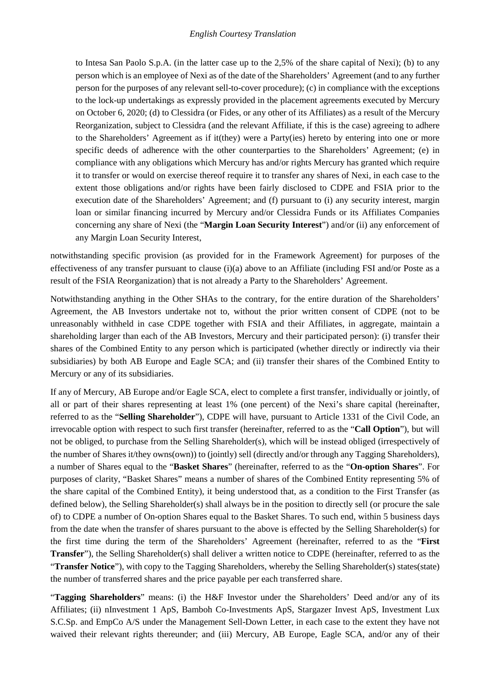to Intesa San Paolo S.p.A. (in the latter case up to the 2,5% of the share capital of Nexi); (b) to any person which is an employee of Nexi as of the date of the Shareholders' Agreement (and to any further person for the purposes of any relevant sell-to-cover procedure); (c) in compliance with the exceptions to the lock-up undertakings as expressly provided in the placement agreements executed by Mercury on October 6, 2020; (d) to Clessidra (or Fides, or any other of its Affiliates) as a result of the Mercury Reorganization, subject to Clessidra (and the relevant Affiliate, if this is the case) agreeing to adhere to the Shareholders' Agreement as if it(they) were a Party(ies) hereto by entering into one or more specific deeds of adherence with the other counterparties to the Shareholders' Agreement; (e) in compliance with any obligations which Mercury has and/or rights Mercury has granted which require it to transfer or would on exercise thereof require it to transfer any shares of Nexi, in each case to the extent those obligations and/or rights have been fairly disclosed to CDPE and FSIA prior to the execution date of the Shareholders' Agreement; and (f) pursuant to (i) any security interest, margin loan or similar financing incurred by Mercury and/or Clessidra Funds or its Affiliates Companies concerning any share of Nexi (the "**Margin Loan Security Interest**") and/or (ii) any enforcement of any Margin Loan Security Interest,

notwithstanding specific provision (as provided for in the Framework Agreement) for purposes of the effectiveness of any transfer pursuant to clause (i)(a) above to an Affiliate (including FSI and/or Poste as a result of the FSIA Reorganization) that is not already a Party to the Shareholders' Agreement.

Notwithstanding anything in the Other SHAs to the contrary, for the entire duration of the Shareholders' Agreement, the AB Investors undertake not to, without the prior written consent of CDPE (not to be unreasonably withheld in case CDPE together with FSIA and their Affiliates, in aggregate, maintain a shareholding larger than each of the AB Investors, Mercury and their participated person): (i) transfer their shares of the Combined Entity to any person which is participated (whether directly or indirectly via their subsidiaries) by both AB Europe and Eagle SCA; and (ii) transfer their shares of the Combined Entity to Mercury or any of its subsidiaries.

If any of Mercury, AB Europe and/or Eagle SCA, elect to complete a first transfer, individually or jointly, of all or part of their shares representing at least 1% (one percent) of the Nexi's share capital (hereinafter, referred to as the "**Selling Shareholder**"), CDPE will have, pursuant to Article 1331 of the Civil Code, an irrevocable option with respect to such first transfer (hereinafter, referred to as the "**Call Option**"), but will not be obliged, to purchase from the Selling Shareholder(s), which will be instead obliged (irrespectively of the number of Shares it/they owns(own)) to (jointly) sell (directly and/or through any Tagging Shareholders), a number of Shares equal to the "**Basket Shares**" (hereinafter, referred to as the "**On-option Shares**". For purposes of clarity, "Basket Shares" means a number of shares of the Combined Entity representing 5% of the share capital of the Combined Entity), it being understood that, as a condition to the First Transfer (as defined below), the Selling Shareholder(s) shall always be in the position to directly sell (or procure the sale of) to CDPE a number of On-option Shares equal to the Basket Shares. To such end, within 5 business days from the date when the transfer of shares pursuant to the above is effected by the Selling Shareholder(s) for the first time during the term of the Shareholders' Agreement (hereinafter, referred to as the "**First Transfer**"), the Selling Shareholder(s) shall deliver a written notice to CDPE (hereinafter, referred to as the "**Transfer Notice**"), with copy to the Tagging Shareholders, whereby the Selling Shareholder(s) states(state) the number of transferred shares and the price payable per each transferred share.

"**Tagging Shareholders**" means: (i) the H&F Investor under the Shareholders' Deed and/or any of its Affiliates; (ii) nInvestment 1 ApS, Bamboh Co-Investments ApS, Stargazer Invest ApS, Investment Lux S.C.Sp. and EmpCo A/S under the Management Sell-Down Letter, in each case to the extent they have not waived their relevant rights thereunder; and (iii) Mercury, AB Europe, Eagle SCA, and/or any of their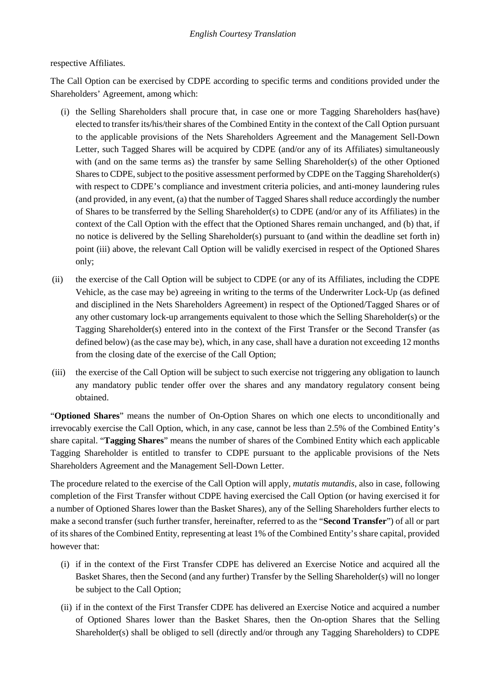### respective Affiliates.

The Call Option can be exercised by CDPE according to specific terms and conditions provided under the Shareholders' Agreement, among which:

- (i) the Selling Shareholders shall procure that, in case one or more Tagging Shareholders has(have) elected to transfer its/his/their shares of the Combined Entity in the context of the Call Option pursuant to the applicable provisions of the Nets Shareholders Agreement and the Management Sell-Down Letter, such Tagged Shares will be acquired by CDPE (and/or any of its Affiliates) simultaneously with (and on the same terms as) the transfer by same Selling Shareholder(s) of the other Optioned Shares to CDPE, subject to the positive assessment performed by CDPE on the Tagging Shareholder(s) with respect to CDPE's compliance and investment criteria policies, and anti-money laundering rules (and provided, in any event, (a) that the number of Tagged Shares shall reduce accordingly the number of Shares to be transferred by the Selling Shareholder(s) to CDPE (and/or any of its Affiliates) in the context of the Call Option with the effect that the Optioned Shares remain unchanged, and (b) that, if no notice is delivered by the Selling Shareholder(s) pursuant to (and within the deadline set forth in) point (iii) above, the relevant Call Option will be validly exercised in respect of the Optioned Shares only;
- (ii) the exercise of the Call Option will be subject to CDPE (or any of its Affiliates, including the CDPE Vehicle, as the case may be) agreeing in writing to the terms of the Underwriter Lock-Up (as defined and disciplined in the Nets Shareholders Agreement) in respect of the Optioned/Tagged Shares or of any other customary lock-up arrangements equivalent to those which the Selling Shareholder(s) or the Tagging Shareholder(s) entered into in the context of the First Transfer or the Second Transfer (as defined below) (as the case may be), which, in any case, shall have a duration not exceeding 12 months from the closing date of the exercise of the Call Option;
- (iii) the exercise of the Call Option will be subject to such exercise not triggering any obligation to launch any mandatory public tender offer over the shares and any mandatory regulatory consent being obtained.

"**Optioned Shares**" means the number of On-Option Shares on which one elects to unconditionally and irrevocably exercise the Call Option, which, in any case, cannot be less than 2.5% of the Combined Entity's share capital. "**Tagging Shares**" means the number of shares of the Combined Entity which each applicable Tagging Shareholder is entitled to transfer to CDPE pursuant to the applicable provisions of the Nets Shareholders Agreement and the Management Sell-Down Letter.

The procedure related to the exercise of the Call Option will apply, *mutatis mutandis*, also in case, following completion of the First Transfer without CDPE having exercised the Call Option (or having exercised it for a number of Optioned Shares lower than the Basket Shares), any of the Selling Shareholders further elects to make a second transfer (such further transfer, hereinafter, referred to as the "**Second Transfer**") of all or part of its shares of the Combined Entity, representing at least 1% of the Combined Entity's share capital, provided however that:

- (i) if in the context of the First Transfer CDPE has delivered an Exercise Notice and acquired all the Basket Shares, then the Second (and any further) Transfer by the Selling Shareholder(s) will no longer be subject to the Call Option;
- (ii) if in the context of the First Transfer CDPE has delivered an Exercise Notice and acquired a number of Optioned Shares lower than the Basket Shares, then the On-option Shares that the Selling Shareholder(s) shall be obliged to sell (directly and/or through any Tagging Shareholders) to CDPE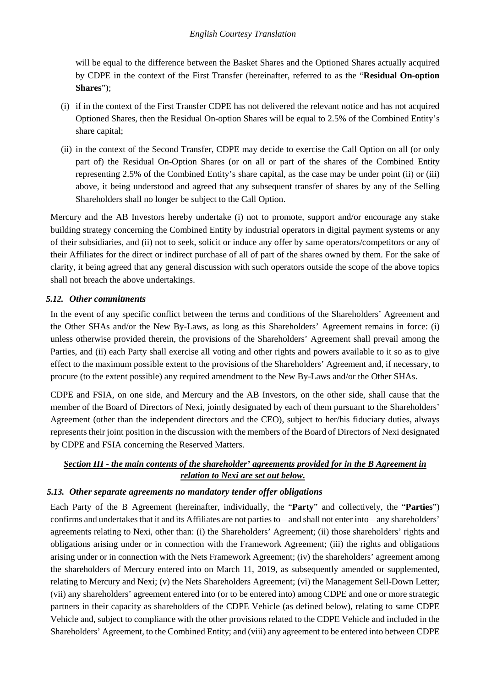will be equal to the difference between the Basket Shares and the Optioned Shares actually acquired by CDPE in the context of the First Transfer (hereinafter, referred to as the "**Residual On-option Shares**");

- (i) if in the context of the First Transfer CDPE has not delivered the relevant notice and has not acquired Optioned Shares, then the Residual On-option Shares will be equal to 2.5% of the Combined Entity's share capital;
- (ii) in the context of the Second Transfer, CDPE may decide to exercise the Call Option on all (or only part of) the Residual On-Option Shares (or on all or part of the shares of the Combined Entity representing 2.5% of the Combined Entity's share capital, as the case may be under point (ii) or (iii) above, it being understood and agreed that any subsequent transfer of shares by any of the Selling Shareholders shall no longer be subject to the Call Option.

Mercury and the AB Investors hereby undertake (i) not to promote, support and/or encourage any stake building strategy concerning the Combined Entity by industrial operators in digital payment systems or any of their subsidiaries, and (ii) not to seek, solicit or induce any offer by same operators/competitors or any of their Affiliates for the direct or indirect purchase of all of part of the shares owned by them. For the sake of clarity, it being agreed that any general discussion with such operators outside the scope of the above topics shall not breach the above undertakings.

## *5.12. Other commitments*

In the event of any specific conflict between the terms and conditions of the Shareholders' Agreement and the Other SHAs and/or the New By-Laws, as long as this Shareholders' Agreement remains in force: (i) unless otherwise provided therein, the provisions of the Shareholders' Agreement shall prevail among the Parties, and (ii) each Party shall exercise all voting and other rights and powers available to it so as to give effect to the maximum possible extent to the provisions of the Shareholders' Agreement and, if necessary, to procure (to the extent possible) any required amendment to the New By-Laws and/or the Other SHAs.

CDPE and FSIA, on one side, and Mercury and the AB Investors, on the other side, shall cause that the member of the Board of Directors of Nexi, jointly designated by each of them pursuant to the Shareholders' Agreement (other than the independent directors and the CEO), subject to her/his fiduciary duties, always represents their joint position in the discussion with the members of the Board of Directors of Nexi designated by CDPE and FSIA concerning the Reserved Matters.

## *Section III - the main contents of the shareholder' agreements provided for in the B Agreement in relation to Nexi are set out below.*

### *5.13. Other separate agreements no mandatory tender offer obligations*

Each Party of the B Agreement (hereinafter, individually, the "**Party**" and collectively, the "**Parties**") confirms and undertakes that it and its Affiliates are not parties to – and shall not enter into – any shareholders' agreements relating to Nexi, other than: (i) the Shareholders' Agreement; (ii) those shareholders' rights and obligations arising under or in connection with the Framework Agreement; (iii) the rights and obligations arising under or in connection with the Nets Framework Agreement; (iv) the shareholders' agreement among the shareholders of Mercury entered into on March 11, 2019, as subsequently amended or supplemented, relating to Mercury and Nexi; (v) the Nets Shareholders Agreement; (vi) the Management Sell-Down Letter; (vii) any shareholders' agreement entered into (or to be entered into) among CDPE and one or more strategic partners in their capacity as shareholders of the CDPE Vehicle (as defined below), relating to same CDPE Vehicle and, subject to compliance with the other provisions related to the CDPE Vehicle and included in the Shareholders' Agreement, to the Combined Entity; and (viii) any agreement to be entered into between CDPE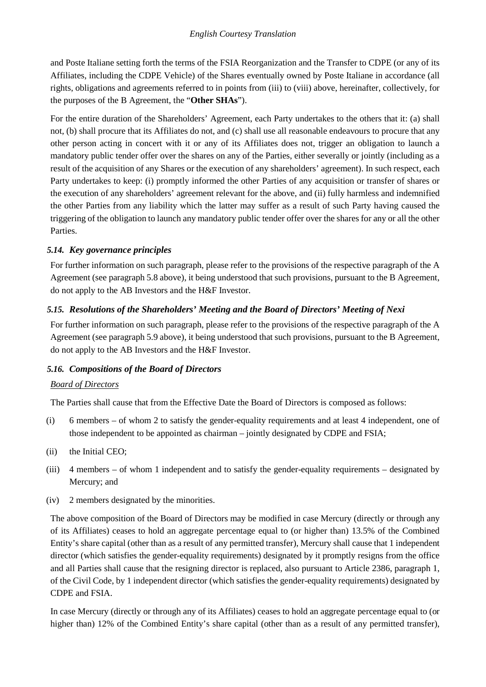and Poste Italiane setting forth the terms of the FSIA Reorganization and the Transfer to CDPE (or any of its Affiliates, including the CDPE Vehicle) of the Shares eventually owned by Poste Italiane in accordance (all rights, obligations and agreements referred to in points from (iii) to (viii) above, hereinafter, collectively, for the purposes of the B Agreement, the "**Other SHAs**").

For the entire duration of the Shareholders' Agreement, each Party undertakes to the others that it: (a) shall not, (b) shall procure that its Affiliates do not, and (c) shall use all reasonable endeavours to procure that any other person acting in concert with it or any of its Affiliates does not, trigger an obligation to launch a mandatory public tender offer over the shares on any of the Parties, either severally or jointly (including as a result of the acquisition of any Shares or the execution of any shareholders' agreement). In such respect, each Party undertakes to keep: (i) promptly informed the other Parties of any acquisition or transfer of shares or the execution of any shareholders' agreement relevant for the above, and (ii) fully harmless and indemnified the other Parties from any liability which the latter may suffer as a result of such Party having caused the triggering of the obligation to launch any mandatory public tender offer over the shares for any or all the other Parties.

### *5.14. Key governance principles*

For further information on such paragraph, please refer to the provisions of the respective paragraph of the A Agreement (see paragraph 5.8 above), it being understood that such provisions, pursuant to the B Agreement, do not apply to the AB Investors and the H&F Investor.

# *5.15. Resolutions of the Shareholders' Meeting and the Board of Directors' Meeting of Nexi*

For further information on such paragraph, please refer to the provisions of the respective paragraph of the A Agreement (see paragraph 5.9 above), it being understood that such provisions, pursuant to the B Agreement, do not apply to the AB Investors and the H&F Investor.

# *5.16. Compositions of the Board of Directors*

### *Board of Directors*

The Parties shall cause that from the Effective Date the Board of Directors is composed as follows:

- (i) 6 members of whom 2 to satisfy the gender-equality requirements and at least 4 independent, one of those independent to be appointed as chairman – jointly designated by CDPE and FSIA;
- (ii) the Initial CEO;
- (iii) 4 members of whom 1 independent and to satisfy the gender-equality requirements designated by Mercury; and
- (iv) 2 members designated by the minorities.

The above composition of the Board of Directors may be modified in case Mercury (directly or through any of its Affiliates) ceases to hold an aggregate percentage equal to (or higher than) 13.5% of the Combined Entity's share capital (other than as a result of any permitted transfer), Mercury shall cause that 1 independent director (which satisfies the gender-equality requirements) designated by it promptly resigns from the office and all Parties shall cause that the resigning director is replaced, also pursuant to Article 2386, paragraph 1, of the Civil Code, by 1 independent director (which satisfies the gender-equality requirements) designated by CDPE and FSIA.

In case Mercury (directly or through any of its Affiliates) ceases to hold an aggregate percentage equal to (or higher than) 12% of the Combined Entity's share capital (other than as a result of any permitted transfer),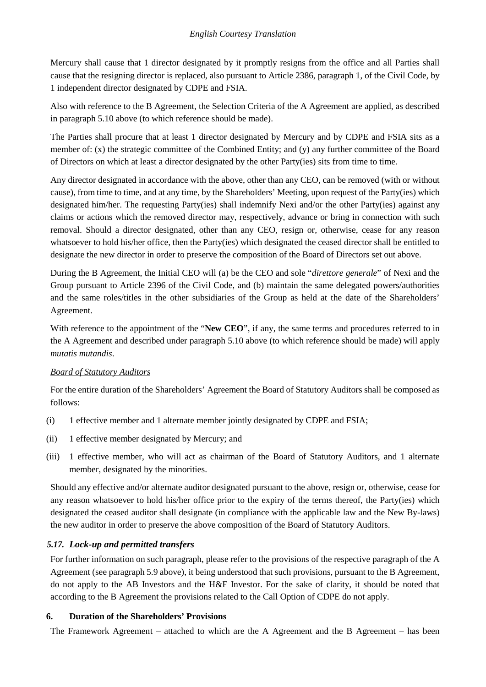Mercury shall cause that 1 director designated by it promptly resigns from the office and all Parties shall cause that the resigning director is replaced, also pursuant to Article 2386, paragraph 1, of the Civil Code, by 1 independent director designated by CDPE and FSIA.

Also with reference to the B Agreement, the Selection Criteria of the A Agreement are applied, as described in paragraph 5.10 above (to which reference should be made).

The Parties shall procure that at least 1 director designated by Mercury and by CDPE and FSIA sits as a member of: (x) the strategic committee of the Combined Entity; and (y) any further committee of the Board of Directors on which at least a director designated by the other Party(ies) sits from time to time.

Any director designated in accordance with the above, other than any CEO, can be removed (with or without cause), from time to time, and at any time, by the Shareholders' Meeting, upon request of the Party(ies) which designated him/her. The requesting Party(ies) shall indemnify Nexi and/or the other Party(ies) against any claims or actions which the removed director may, respectively, advance or bring in connection with such removal. Should a director designated, other than any CEO, resign or, otherwise, cease for any reason whatsoever to hold his/her office, then the Party(ies) which designated the ceased director shall be entitled to designate the new director in order to preserve the composition of the Board of Directors set out above.

During the B Agreement, the Initial CEO will (a) be the CEO and sole "*direttore generale*" of Nexi and the Group pursuant to Article 2396 of the Civil Code, and (b) maintain the same delegated powers/authorities and the same roles/titles in the other subsidiaries of the Group as held at the date of the Shareholders' Agreement.

With reference to the appointment of the "**New CEO**", if any, the same terms and procedures referred to in the A Agreement and described under paragraph 5.10 above (to which reference should be made) will apply *mutatis mutandis*.

# *Board of Statutory Auditors*

For the entire duration of the Shareholders' Agreement the Board of Statutory Auditors shall be composed as follows:

- (i) 1 effective member and 1 alternate member jointly designated by CDPE and FSIA;
- (ii) 1 effective member designated by Mercury; and
- (iii) 1 effective member, who will act as chairman of the Board of Statutory Auditors, and 1 alternate member, designated by the minorities.

Should any effective and/or alternate auditor designated pursuant to the above, resign or, otherwise, cease for any reason whatsoever to hold his/her office prior to the expiry of the terms thereof, the Party(ies) which designated the ceased auditor shall designate (in compliance with the applicable law and the New By-laws) the new auditor in order to preserve the above composition of the Board of Statutory Auditors.

# *5.17. Lock-up and permitted transfers*

For further information on such paragraph, please refer to the provisions of the respective paragraph of the A Agreement (see paragraph 5.9 above), it being understood that such provisions, pursuant to the B Agreement, do not apply to the AB Investors and the H&F Investor. For the sake of clarity, it should be noted that according to the B Agreement the provisions related to the Call Option of CDPE do not apply.

### **6. Duration of the Shareholders' Provisions**

The Framework Agreement – attached to which are the A Agreement and the B Agreement – has been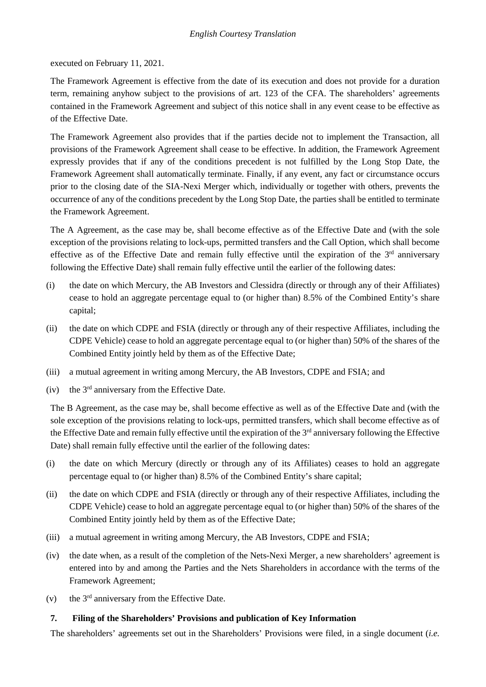executed on February 11, 2021.

The Framework Agreement is effective from the date of its execution and does not provide for a duration term, remaining anyhow subject to the provisions of art. 123 of the CFA. The shareholders' agreements contained in the Framework Agreement and subject of this notice shall in any event cease to be effective as of the Effective Date.

The Framework Agreement also provides that if the parties decide not to implement the Transaction, all provisions of the Framework Agreement shall cease to be effective. In addition, the Framework Agreement expressly provides that if any of the conditions precedent is not fulfilled by the Long Stop Date, the Framework Agreement shall automatically terminate. Finally, if any event, any fact or circumstance occurs prior to the closing date of the SIA-Nexi Merger which, individually or together with others, prevents the occurrence of any of the conditions precedent by the Long Stop Date, the parties shall be entitled to terminate the Framework Agreement.

The A Agreement, as the case may be, shall become effective as of the Effective Date and (with the sole exception of the provisions relating to lock-ups, permitted transfers and the Call Option, which shall become effective as of the Effective Date and remain fully effective until the expiration of the 3rd anniversary following the Effective Date) shall remain fully effective until the earlier of the following dates:

- (i) the date on which Mercury, the AB Investors and Clessidra (directly or through any of their Affiliates) cease to hold an aggregate percentage equal to (or higher than) 8.5% of the Combined Entity's share capital;
- (ii) the date on which CDPE and FSIA (directly or through any of their respective Affiliates, including the CDPE Vehicle) cease to hold an aggregate percentage equal to (or higher than) 50% of the shares of the Combined Entity jointly held by them as of the Effective Date;
- (iii) a mutual agreement in writing among Mercury, the AB Investors, CDPE and FSIA; and
- (iv) the 3rd anniversary from the Effective Date.

The B Agreement, as the case may be, shall become effective as well as of the Effective Date and (with the sole exception of the provisions relating to lock-ups, permitted transfers, which shall become effective as of the Effective Date and remain fully effective until the expiration of the 3<sup>rd</sup> anniversary following the Effective Date) shall remain fully effective until the earlier of the following dates:

- (i) the date on which Mercury (directly or through any of its Affiliates) ceases to hold an aggregate percentage equal to (or higher than) 8.5% of the Combined Entity's share capital;
- (ii) the date on which CDPE and FSIA (directly or through any of their respective Affiliates, including the CDPE Vehicle) cease to hold an aggregate percentage equal to (or higher than) 50% of the shares of the Combined Entity jointly held by them as of the Effective Date;
- (iii) a mutual agreement in writing among Mercury, the AB Investors, CDPE and FSIA;
- (iv) the date when, as a result of the completion of the Nets-Nexi Merger, a new shareholders' agreement is entered into by and among the Parties and the Nets Shareholders in accordance with the terms of the Framework Agreement;
- (v) the  $3<sup>rd</sup>$  anniversary from the Effective Date.

### **7. Filing of the Shareholders' Provisions and publication of Key Information**

The shareholders' agreements set out in the Shareholders' Provisions were filed, in a single document (*i.e.*